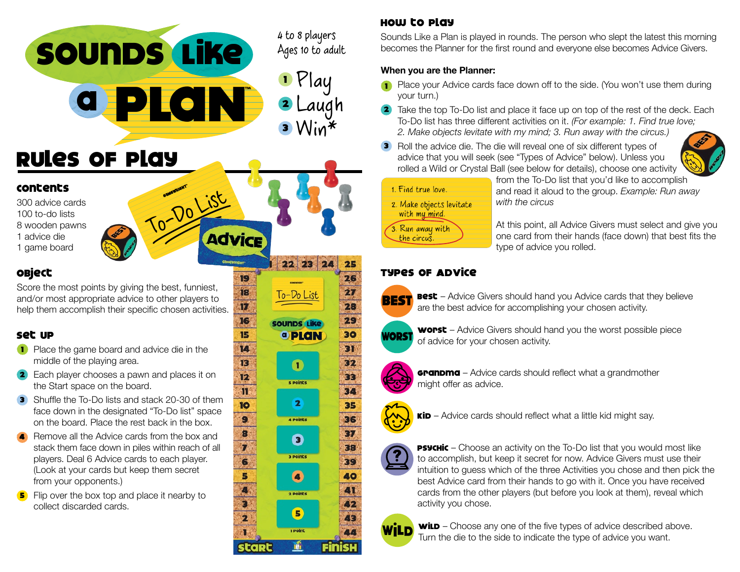

To-Do List

19 18

m

16

15

Ю  $13$ 

 $12$ 

in.

10

9

8<br>7<br>6<br>5<br>4<br>3

2

Rules of Play

#### Contents

300 advice cards 100 to-do lists 8 wooden pawns 1 advice die

1 game board

## Object

Score the most points by giving the best, funniest, and/or most appropriate advice to other players to help them accomplish their specific chosen activities.

### Set Up

- **1** Place the game board and advice die in the middle of the playing area.
- **2** Each player chooses a pawn and places it on the Start space on the board.
- **3** Shuffle the To-Do lists and stack 20-30 of them face down in the designated "To-Do list" space on the board. Place the rest back in the box.
- Remove all the Advice cards from the box and stack them face down in piles within reach of all players. Deal 6 Advice cards to each player. (Look at your cards but keep them secret from your opponents.) 4
- **5** Flip over the box top and place it nearby to collect discarded cards.

# How to Play

Sounds Like a Plan is played in rounds. The person who slept the latest this morning becomes the Planner for the first round and everyone else becomes Advice Givers.

#### **When you are the Planner:**

- Place your Advice cards face down off to the side. (You won't use them during your turn.) 1
- **2** Take the top To-Do list and place it face up on top of the rest of the deck. Each To-Do list has three different activities on it. *(For example: 1. Find true love; 2. Make objects levitate with my mind; 3. Run away with the circus.)*
- **3** Roll the advice die. The die will reveal one of six different types of advice that you will seek (see "Types of Advice" below). Unless you rolled a Wild or Crystal Ball (see below for details), choose one activity



3. Run away with the circus

from the To-Do list that you'd like to accomplish and read it aloud to the group. *Example: Run away with the circus*

At this point, all Advice Givers must select and give you one card from their hands (face down) that best fits the type of advice you rolled.

## Types of Advice



 $22 \ 23 \ 24$ 

To-Do List

sounds Like

 $\bullet$ 

s points

 $\overline{\mathbf{2}}$ 

4 Points

 $\bullet$ 

3 Points

 $\bullet$ 

2 Points

 $\left( \blacksquare \right)$ 

1 Point

idi

<sup>o</sup> PLAN

25 26

 $\overline{\mathbf{27}}$ 

28 29

30

 $31$ 

32

33

34

35

36

37

38

39

40 41

 $22$ 

43

44

Finish

**Best** – Advice Givers should hand you Advice cards that they believe are the best advice for accomplishing your chosen activity.



**worst** – Advice Givers should hand you the worst possible piece of advice for your chosen activity.



**Grandma** – Advice cards should reflect what a grandmother might offer as advice.



 $\text{Kib}$  – Advice cards should reflect what a little kid might say.



**PSYCHIC** – Choose an activity on the To-Do list that you would most like to accomplish, but keep it secret for now. Advice Givers must use their intuition to guess which of the three Activities you chose and then pick the best Advice card from their hands to go with it. Once you have received cards from the other players (but before you look at them), reveal which activity you chose.



**wild** – Choose any one of the five types of advice described above. Turn the die to the side to indicate the type of advice you want.